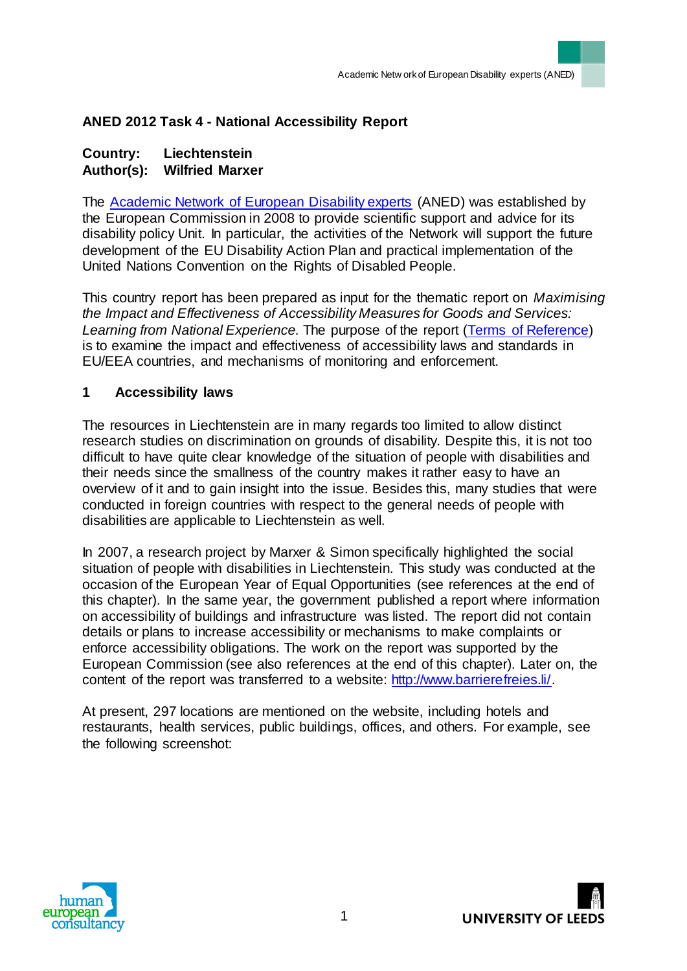# **ANED 2012 Task 4 - National Accessibility Report**

#### **Country: Liechtenstein Author(s): Wilfried Marxer**

The [Academic Network of European Disability experts](http://disability-europe.net/) (ANED) was established by the European Commission in 2008 to provide scientific support and advice for its disability policy Unit. In particular, the activities of the Network will support the future development of the EU Disability Action Plan and practical implementation of the United Nations Convention on the Rights of Disabled People.

This country report has been prepared as input for the thematic report on *Maximising the Impact and Effectiveness of Accessibility Measures for Goods and Services: Learning from National Experience.* The purpose of the report [\(Terms of Reference\)](http://www.disability-europe.net/content/aned/media/ToR%20-%20ANED%202012%20Task%204%20-%20Accessibility.doc) is to examine the impact and effectiveness of accessibility laws and standards in EU/EEA countries, and mechanisms of monitoring and enforcement.

### **1 Accessibility laws**

The resources in Liechtenstein are in many regards too limited to allow distinct research studies on discrimination on grounds of disability. Despite this, it is not too difficult to have quite clear knowledge of the situation of people with disabilities and their needs since the smallness of the country makes it rather easy to have an overview of it and to gain insight into the issue. Besides this, many studies that were conducted in foreign countries with respect to the general needs of people with disabilities are applicable to Liechtenstein as well.

In 2007, a research project by Marxer & Simon specifically highlighted the social situation of people with disabilities in Liechtenstein. This study was conducted at the occasion of the European Year of Equal Opportunities (see references at the end of this chapter). In the same year, the government published a report where information on accessibility of buildings and infrastructure was listed. The report did not contain details or plans to increase accessibility or mechanisms to make complaints or enforce accessibility obligations. The work on the report was supported by the European Commission (see also references at the end of this chapter). Later on, the content of the report was transferred to a website: http://www.barrierefreies.li/.

At present, 297 locations are mentioned on the website, including hotels and restaurants, health services, public buildings, offices, and others. For example, see the following screenshot:



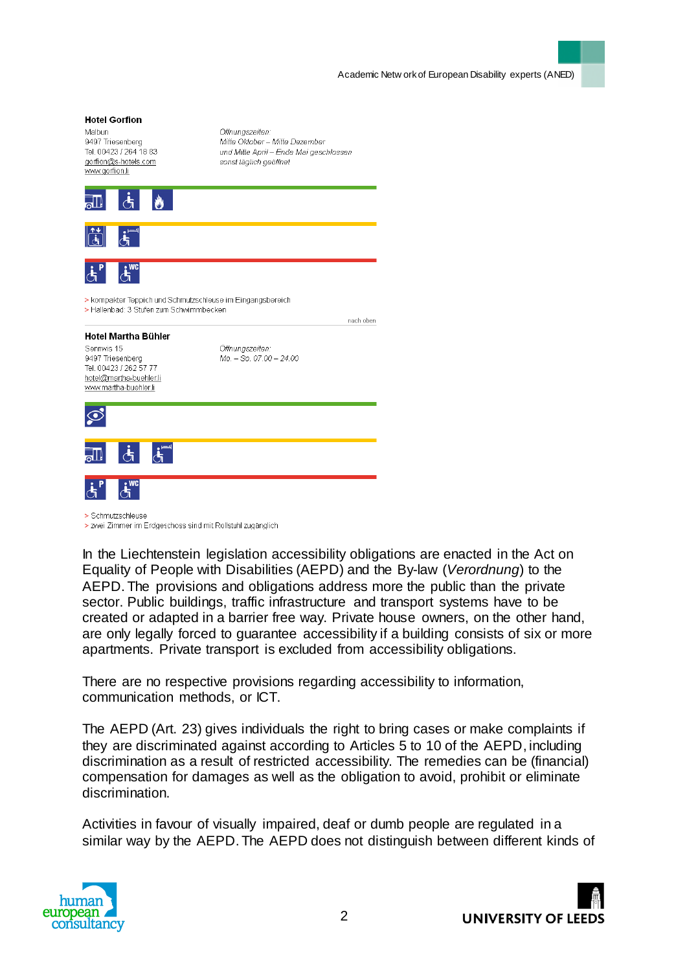# **Hotel Gorfion** Malbun Öffnungszeiten: 9497 Triesenberg Mitte Oktober - Mitte Dezember Tel. 00423 / 264 18 83 und Mitte April - Ende Mai geschlossen gorfion@s-hotels.com sonst täglich geöffnet www.gorfion.li > kompakter Teppich und Schmutzschleuse im Eingangsbereich > Hallenbad: 3 Stufen zum Schwimmbecken nach oben **Hotel Martha Bühler** Sennwis 15 Öffnungszeiten: 9497 Triesenberg  $Mo. - So. 07.00 - 24.00$ Tel. 00423 / 262 57 77 hotel@martha-buehler.li www.martha-buehler.li  $\odot$ > Schmutzschleuse > zwei Zimmer im Erdgeschoss sind mit Rollstuhl zugänglich

In the Liechtenstein legislation accessibility obligations are enacted in the Act on Equality of People with Disabilities (AEPD) and the By-law (*Verordnung*) to the AEPD. The provisions and obligations address more the public than the private sector. Public buildings, traffic infrastructure and transport systems have to be created or adapted in a barrier free way. Private house owners, on the other hand, are only legally forced to guarantee accessibility if a building consists of six or more apartments. Private transport is excluded from accessibility obligations.

There are no respective provisions regarding accessibility to information, communication methods, or ICT.

The AEPD (Art. 23) gives individuals the right to bring cases or make complaints if they are discriminated against according to Articles 5 to 10 of the AEPD, including discrimination as a result of restricted accessibility. The remedies can be (financial) compensation for damages as well as the obligation to avoid, prohibit or eliminate discrimination.

Activities in favour of visually impaired, deaf or dumb people are regulated in a similar way by the AEPD. The AEPD does not distinguish between different kinds of



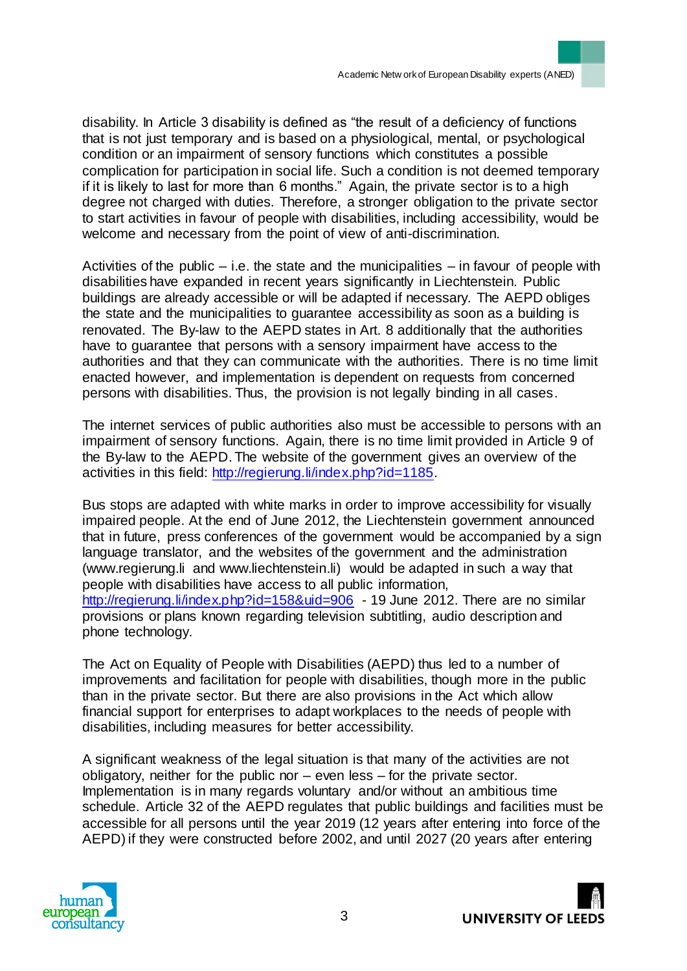disability. In Article 3 disability is defined as "the result of a deficiency of functions that is not just temporary and is based on a physiological, mental, or psychological condition or an impairment of sensory functions which constitutes a possible complication for participation in social life. Such a condition is not deemed temporary if it is likely to last for more than 6 months." Again, the private sector is to a high degree not charged with duties. Therefore, a stronger obligation to the private sector to start activities in favour of people with disabilities, including accessibility, would be welcome and necessary from the point of view of anti-discrimination.

Activities of the public – i.e. the state and the municipalities – in favour of people with disabilities have expanded in recent years significantly in Liechtenstein. Public buildings are already accessible or will be adapted if necessary. The AEPD obliges the state and the municipalities to guarantee accessibility as soon as a building is renovated. The By-law to the AEPD states in Art. 8 additionally that the authorities have to guarantee that persons with a sensory impairment have access to the authorities and that they can communicate with the authorities. There is no time limit enacted however, and implementation is dependent on requests from concerned persons with disabilities. Thus, the provision is not legally binding in all cases.

The internet services of public authorities also must be accessible to persons with an impairment of sensory functions. Again, there is no time limit provided in Article 9 of the By-law to the AEPD. The website of the government gives an overview of the activities in this field: http://regierung.li/index.php?id=1185.

Bus stops are adapted with white marks in order to improve accessibility for visually impaired people. At the end of June 2012, the Liechtenstein government announced that in future, press conferences of the government would be accompanied by a sign language translator, and the websites of the government and the administration (www.regierung.li and www.liechtenstein.li) would be adapted in such a way that people with disabilities have access to all public information, http://regierung.li/index.php?id=158&uid=906 - 19 June 2012. There are no similar provisions or plans known regarding television subtitling, audio description and phone technology.

The Act on Equality of People with Disabilities (AEPD) thus led to a number of improvements and facilitation for people with disabilities, though more in the public than in the private sector. But there are also provisions in the Act which allow financial support for enterprises to adapt workplaces to the needs of people with disabilities, including measures for better accessibility.

A significant weakness of the legal situation is that many of the activities are not obligatory, neither for the public nor – even less – for the private sector. Implementation is in many regards voluntary and/or without an ambitious time schedule. Article 32 of the AEPD regulates that public buildings and facilities must be accessible for all persons until the year 2019 (12 years after entering into force of the AEPD) if they were constructed before 2002, and until 2027 (20 years after entering



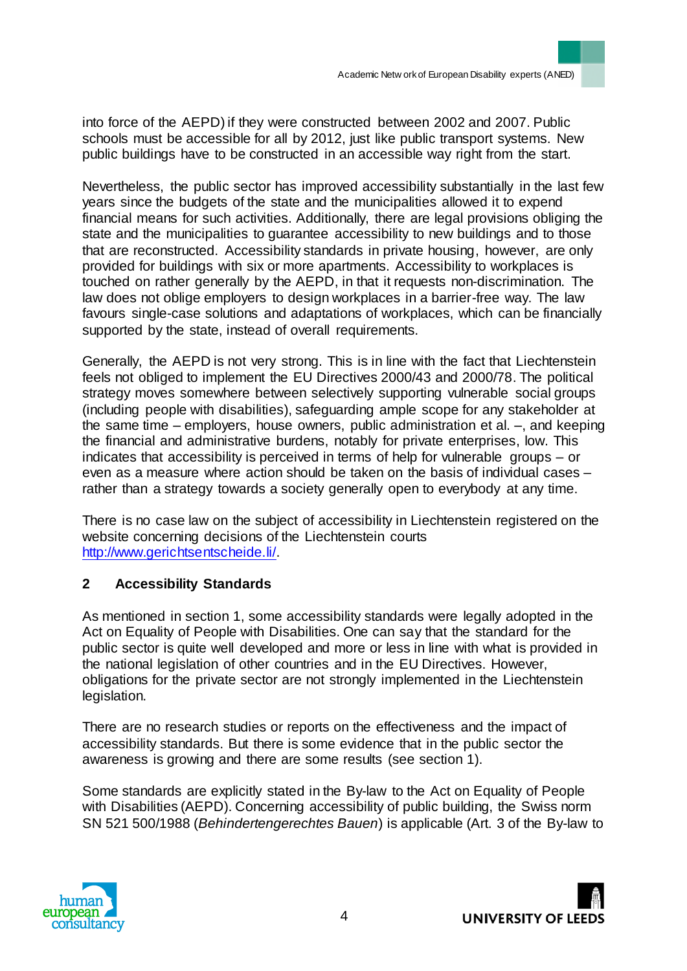into force of the AEPD) if they were constructed between 2002 and 2007. Public schools must be accessible for all by 2012, just like public transport systems. New public buildings have to be constructed in an accessible way right from the start.

Nevertheless, the public sector has improved accessibility substantially in the last few years since the budgets of the state and the municipalities allowed it to expend financial means for such activities. Additionally, there are legal provisions obliging the state and the municipalities to guarantee accessibility to new buildings and to those that are reconstructed. Accessibility standards in private housing, however, are only provided for buildings with six or more apartments. Accessibility to workplaces is touched on rather generally by the AEPD, in that it requests non-discrimination. The law does not oblige employers to design workplaces in a barrier-free way. The law favours single-case solutions and adaptations of workplaces, which can be financially supported by the state, instead of overall requirements.

Generally, the AEPD is not very strong. This is in line with the fact that Liechtenstein feels not obliged to implement the EU Directives 2000/43 and 2000/78. The political strategy moves somewhere between selectively supporting vulnerable social groups (including people with disabilities), safeguarding ample scope for any stakeholder at the same time – employers, house owners, public administration et al. –, and keeping the financial and administrative burdens, notably for private enterprises, low. This indicates that accessibility is perceived in terms of help for vulnerable groups – or even as a measure where action should be taken on the basis of individual cases – rather than a strategy towards a society generally open to everybody at any time.

There is no case law on the subject of accessibility in Liechtenstein registered on the website concerning decisions of the Liechtenstein courts http://www.gerichtsentscheide.li/.

# **2 Accessibility Standards**

As mentioned in section 1, some accessibility standards were legally adopted in the Act on Equality of People with Disabilities. One can say that the standard for the public sector is quite well developed and more or less in line with what is provided in the national legislation of other countries and in the EU Directives. However, obligations for the private sector are not strongly implemented in the Liechtenstein legislation.

There are no research studies or reports on the effectiveness and the impact of accessibility standards. But there is some evidence that in the public sector the awareness is growing and there are some results (see section 1).

Some standards are explicitly stated in the By-law to the Act on Equality of People with Disabilities (AEPD). Concerning accessibility of public building, the Swiss norm SN 521 500/1988 (*Behindertengerechtes Bauen*) is applicable (Art. 3 of the By-law to



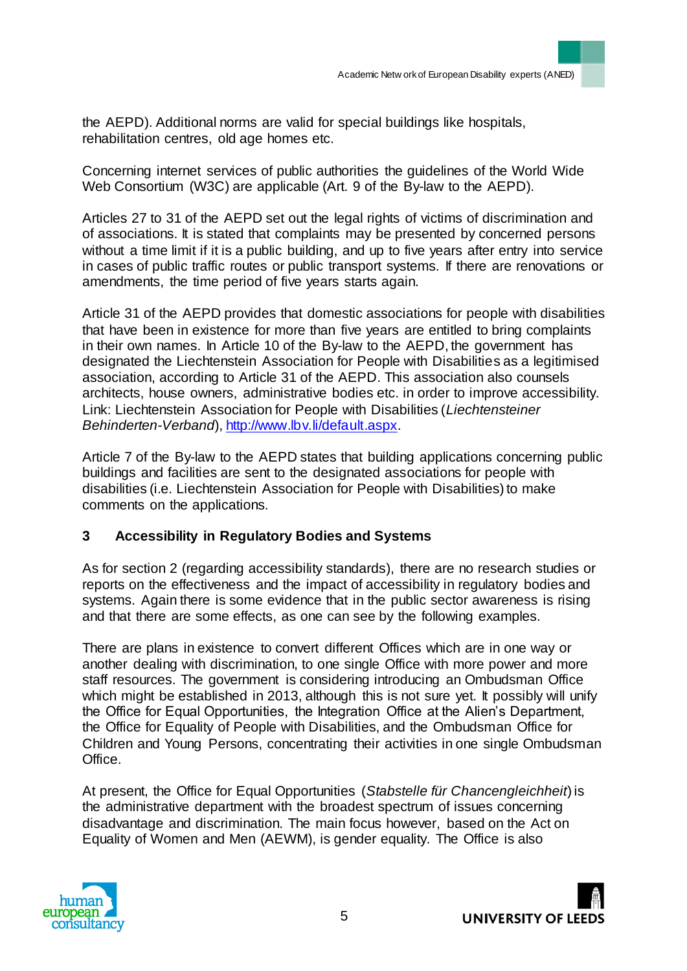the AEPD). Additional norms are valid for special buildings like hospitals, rehabilitation centres, old age homes etc.

Concerning internet services of public authorities the guidelines of the World Wide Web Consortium (W3C) are applicable (Art. 9 of the By-law to the AEPD).

Articles 27 to 31 of the AEPD set out the legal rights of victims of discrimination and of associations. It is stated that complaints may be presented by concerned persons without a time limit if it is a public building, and up to five years after entry into service in cases of public traffic routes or public transport systems. If there are renovations or amendments, the time period of five years starts again.

Article 31 of the AEPD provides that domestic associations for people with disabilities that have been in existence for more than five years are entitled to bring complaints in their own names. In Article 10 of the By-law to the AEPD, the government has designated the Liechtenstein Association for People with Disabilities as a legitimised association, according to Article 31 of the AEPD. This association also counsels architects, house owners, administrative bodies etc. in order to improve accessibility. Link: Liechtenstein Association for People with Disabilities (*Liechtensteiner Behinderten-Verband*), http://www.lbv.li/default.aspx.

Article 7 of the By-law to the AEPD states that building applications concerning public buildings and facilities are sent to the designated associations for people with disabilities (i.e. Liechtenstein Association for People with Disabilities) to make comments on the applications.

## **3 Accessibility in Regulatory Bodies and Systems**

As for section 2 (regarding accessibility standards), there are no research studies or reports on the effectiveness and the impact of accessibility in regulatory bodies and systems. Again there is some evidence that in the public sector awareness is rising and that there are some effects, as one can see by the following examples.

There are plans in existence to convert different Offices which are in one way or another dealing with discrimination, to one single Office with more power and more staff resources. The government is considering introducing an Ombudsman Office which might be established in 2013, although this is not sure yet. It possibly will unify the Office for Equal Opportunities, the Integration Office at the Alien's Department, the Office for Equality of People with Disabilities, and the Ombudsman Office for Children and Young Persons, concentrating their activities in one single Ombudsman Office.

At present, the Office for Equal Opportunities (*Stabstelle für Chancengleichheit*) is the administrative department with the broadest spectrum of issues concerning disadvantage and discrimination. The main focus however, based on the Act on Equality of Women and Men (AEWM), is gender equality. The Office is also



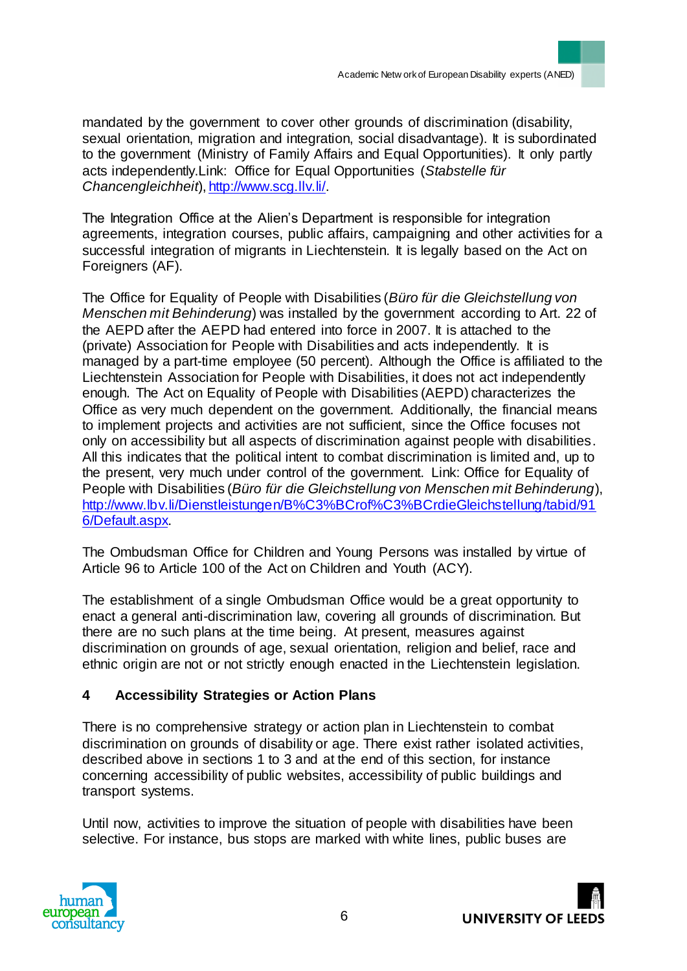mandated by the government to cover other grounds of discrimination (disability, sexual orientation, migration and integration, social disadvantage). It is subordinated to the government (Ministry of Family Affairs and Equal Opportunities). It only partly acts independently.Link: Office for Equal Opportunities (*Stabstelle für Chancengleichheit*), http://www.scg.llv.li/.

The Integration Office at the Alien's Department is responsible for integration agreements, integration courses, public affairs, campaigning and other activities for a successful integration of migrants in Liechtenstein. It is legally based on the Act on Foreigners (AF).

The Office for Equality of People with Disabilities (*Büro für die Gleichstellung von Menschen mit Behinderung*) was installed by the government according to Art. 22 of the AEPD after the AEPD had entered into force in 2007. It is attached to the (private) Association for People with Disabilities and acts independently. It is managed by a part-time employee (50 percent). Although the Office is affiliated to the Liechtenstein Association for People with Disabilities, it does not act independently enough. The Act on Equality of People with Disabilities (AEPD) characterizes the Office as very much dependent on the government. Additionally, the financial means to implement projects and activities are not sufficient, since the Office focuses not only on accessibility but all aspects of discrimination against people with disabilities. All this indicates that the political intent to combat discrimination is limited and, up to the present, very much under control of the government. Link: Office for Equality of People with Disabilities (*Büro für die Gleichstellung von Menschen mit Behinderung*), http://www.lbv.li/Dienstleistungen/B%C3%BCrof%C3%BCrdieGleichstellung/tabid/91 6/Default.aspx.

The Ombudsman Office for Children and Young Persons was installed by virtue of Article 96 to Article 100 of the Act on Children and Youth (ACY).

The establishment of a single Ombudsman Office would be a great opportunity to enact a general anti-discrimination law, covering all grounds of discrimination. But there are no such plans at the time being. At present, measures against discrimination on grounds of age, sexual orientation, religion and belief, race and ethnic origin are not or not strictly enough enacted in the Liechtenstein legislation.

## **4 Accessibility Strategies or Action Plans**

There is no comprehensive strategy or action plan in Liechtenstein to combat discrimination on grounds of disability or age. There exist rather isolated activities, described above in sections 1 to 3 and at the end of this section, for instance concerning accessibility of public websites, accessibility of public buildings and transport systems.

Until now, activities to improve the situation of people with disabilities have been selective. For instance, bus stops are marked with white lines, public buses are



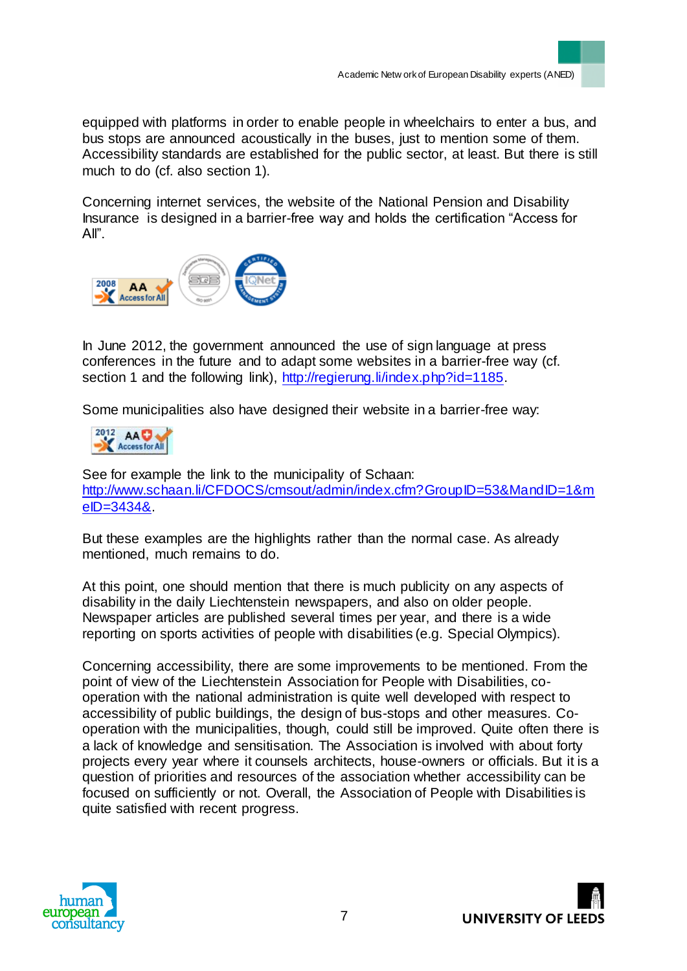equipped with platforms in order to enable people in wheelchairs to enter a bus, and bus stops are announced acoustically in the buses, just to mention some of them. Accessibility standards are established for the public sector, at least. But there is still much to do (cf. also section 1).

Concerning internet services, the website of the National Pension and Disability Insurance is designed in a barrier-free way and holds the certification "Access for All".



In June 2012, the government announced the use of sign language at press conferences in the future and to adapt some websites in a barrier-free way (cf. section 1 and the following link), http://regierung.li/index.php?id=1185.

Some municipalities also have designed their website in a barrier-free way:

$$
^{2012}_{\Lambda \text{C} \text{C} \text{C} \text{A} \text{C}}
$$

See for example the link to the municipality of Schaan: http://www.schaan.li/CFDOCS/cmsout/admin/index.cfm?GroupID=53&MandID=1&m eID=3434&.

But these examples are the highlights rather than the normal case. As already mentioned, much remains to do.

At this point, one should mention that there is much publicity on any aspects of disability in the daily Liechtenstein newspapers, and also on older people. Newspaper articles are published several times per year, and there is a wide reporting on sports activities of people with disabilities (e.g. Special Olympics).

Concerning accessibility, there are some improvements to be mentioned. From the point of view of the Liechtenstein Association for People with Disabilities, cooperation with the national administration is quite well developed with respect to accessibility of public buildings, the design of bus-stops and other measures. Cooperation with the municipalities, though, could still be improved. Quite often there is a lack of knowledge and sensitisation. The Association is involved with about forty projects every year where it counsels architects, house-owners or officials. But it is a question of priorities and resources of the association whether accessibility can be focused on sufficiently or not. Overall, the Association of People with Disabilities is quite satisfied with recent progress.



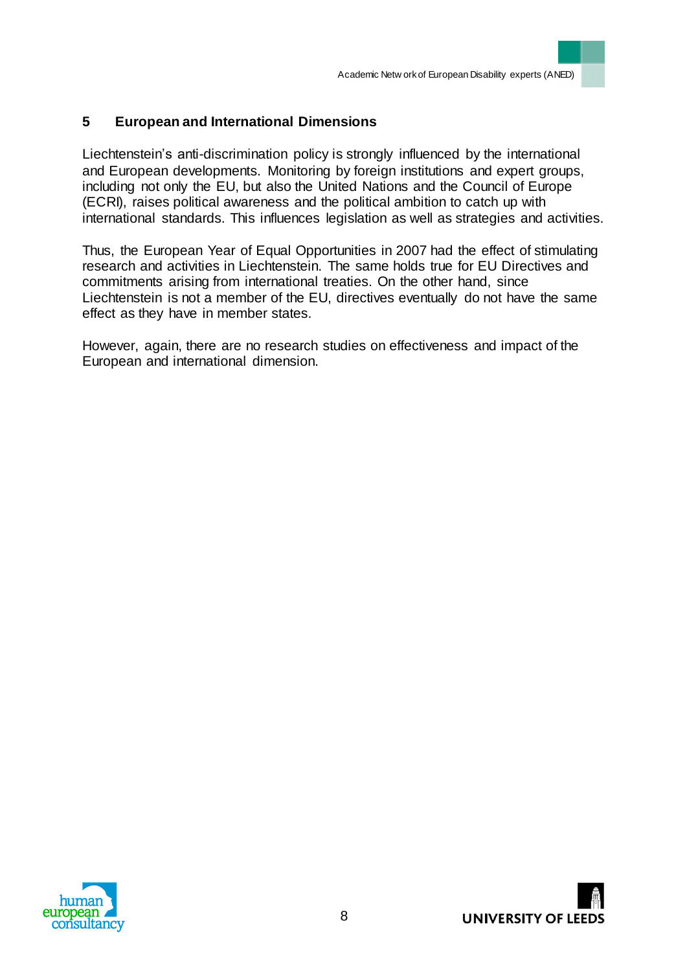# **5 European and International Dimensions**

Liechtenstein's anti-discrimination policy is strongly influenced by the international and European developments. Monitoring by foreign institutions and expert groups, including not only the EU, but also the United Nations and the Council of Europe (ECRI), raises political awareness and the political ambition to catch up with international standards. This influences legislation as well as strategies and activities.

Thus, the European Year of Equal Opportunities in 2007 had the effect of stimulating research and activities in Liechtenstein. The same holds true for EU Directives and commitments arising from international treaties. On the other hand, since Liechtenstein is not a member of the EU, directives eventually do not have the same effect as they have in member states.

However, again, there are no research studies on effectiveness and impact of the European and international dimension.